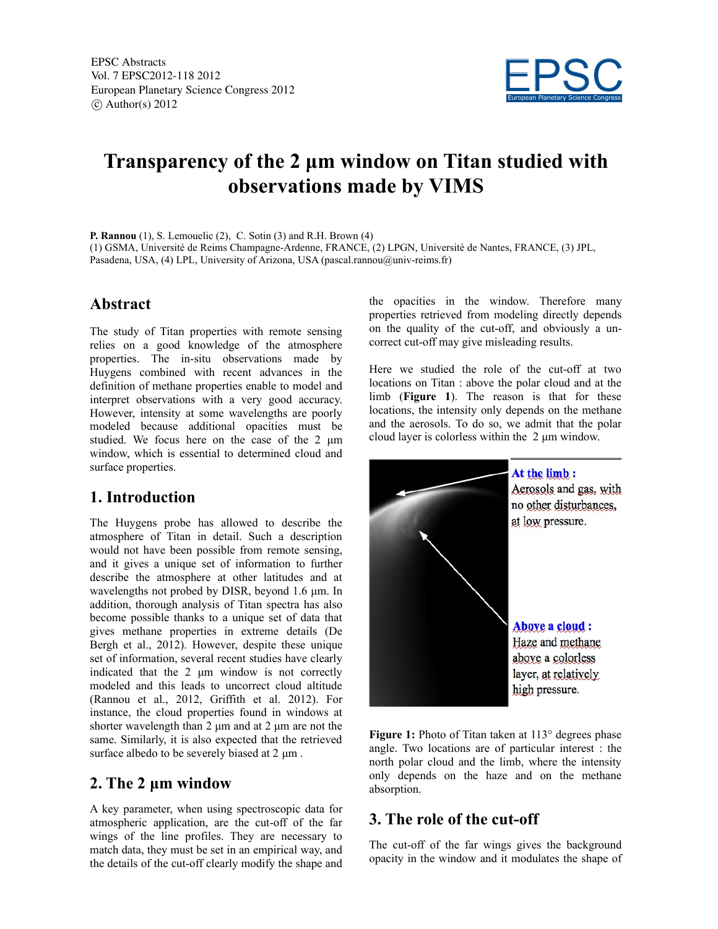

# **Transparency of the 2 μm window on Titan studied with observations made by VIMS**

**P. Rannou** (1), S. Lemouelic (2), C. Sotin (3) and R.H. Brown (4) (1) GSMA, Université de Reims Champagne-Ardenne, FRANCE, (2) LPGN, Université de Nantes, FRANCE, (3) JPL, Pasadena, USA, (4) LPL, University of Arizona, USA (pascal.rannou@univ-reims.fr)

### **Abstract**

The study of Titan properties with remote sensing relies on a good knowledge of the atmosphere properties. The in-situ observations made by Huygens combined with recent advances in the definition of methane properties enable to model and interpret observations with a very good accuracy. However, intensity at some wavelengths are poorly modeled because additional opacities must be studied. We focus here on the case of the 2 μm window, which is essential to determined cloud and surface properties.

### **1. Introduction**

The Huygens probe has allowed to describe the atmosphere of Titan in detail. Such a description would not have been possible from remote sensing, and it gives a unique set of information to further describe the atmosphere at other latitudes and at wavelengths not probed by DISR, beyond 1.6 μm. In addition, thorough analysis of Titan spectra has also become possible thanks to a unique set of data that gives methane properties in extreme details (De Bergh et al., 2012). However, despite these unique set of information, several recent studies have clearly indicated that the 2 μm window is not correctly modeled and this leads to uncorrect cloud altitude (Rannou et al., 2012, Griffith et al. 2012). For instance, the cloud properties found in windows at shorter wavelength than 2 μm and at 2 μm are not the same. Similarly, it is also expected that the retrieved surface albedo to be severely biased at 2 μm .

### **2. The 2 μm window**

A key parameter, when using spectroscopic data for atmospheric application, are the cut-off of the far wings of the line profiles. They are necessary to match data, they must be set in an empirical way, and the details of the cut-off clearly modify the shape and

the opacities in the window. Therefore many properties retrieved from modeling directly depends on the quality of the cut-off, and obviously a uncorrect cut-off may give misleading results.

Here we studied the role of the cut-off at two locations on Titan : above the polar cloud and at the limb (**Figure 1**). The reason is that for these locations, the intensity only depends on the methane and the aerosols. To do so, we admit that the polar cloud layer is colorless within the 2 μm window.



Figure 1: Photo of Titan taken at 113° degrees phase angle. Two locations are of particular interest : the north polar cloud and the limb, where the intensity only depends on the haze and on the methane absorption.

# **3. The role of the cut-off**

The cut-off of the far wings gives the background opacity in the window and it modulates the shape of